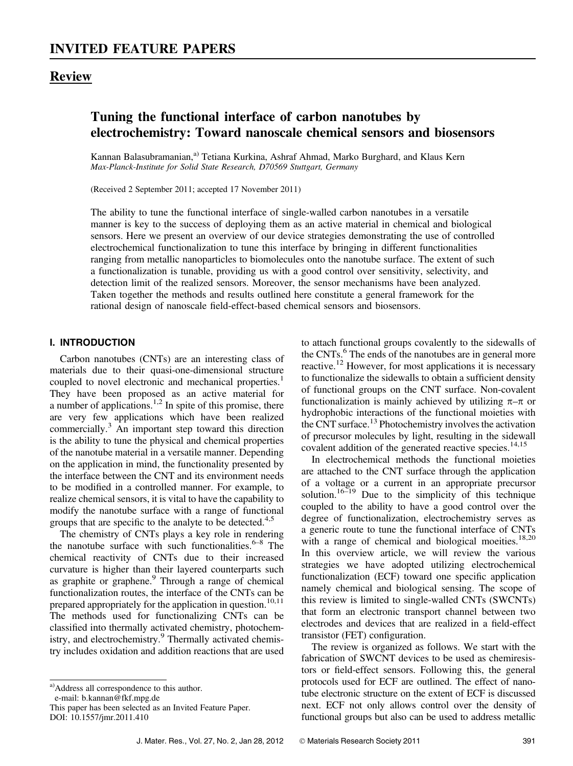## Review

# Tuning the functional interface of carbon nanotubes by electrochemistry: Toward nanoscale chemical sensors and biosensors

Kannan Balasubramanian,<sup>a)</sup> Tetiana Kurkina, Ashraf Ahmad, Marko Burghard, and Klaus Kern Max-Planck-Institute for Solid State Research, D70569 Stuttgart, Germany

(Received 2 September 2011; accepted 17 November 2011)

The ability to tune the functional interface of single-walled carbon nanotubes in a versatile manner is key to the success of deploying them as an active material in chemical and biological sensors. Here we present an overview of our device strategies demonstrating the use of controlled electrochemical functionalization to tune this interface by bringing in different functionalities ranging from metallic nanoparticles to biomolecules onto the nanotube surface. The extent of such a functionalization is tunable, providing us with a good control over sensitivity, selectivity, and detection limit of the realized sensors. Moreover, the sensor mechanisms have been analyzed. Taken together the methods and results outlined here constitute a general framework for the rational design of nanoscale field-effect-based chemical sensors and biosensors.

## I. INTRODUCTION

Carbon nanotubes (CNTs) are an interesting class of materials due to their quasi-one-dimensional structure coupled to novel electronic and mechanical properties.<sup>1</sup> They have been proposed as an active material for a number of applications.<sup>1,2</sup> In spite of this promise, there are very few applications which have been realized commercially.<sup>3</sup> An important step toward this direction is the ability to tune the physical and chemical properties of the nanotube material in a versatile manner. Depending on the application in mind, the functionality presented by the interface between the CNT and its environment needs to be modified in a controlled manner. For example, to realize chemical sensors, it is vital to have the capability to modify the nanotube surface with a range of functional groups that are specific to the analyte to be detected. $4.5$ 

The chemistry of CNTs plays a key role in rendering the nanotube surface with such functionalities. $6-8$  The chemical reactivity of CNTs due to their increased curvature is higher than their layered counterparts such as graphite or graphene.<sup>9</sup> Through a range of chemical functionalization routes, the interface of the CNTs can be prepared appropriately for the application in question.<sup>10,11</sup> The methods used for functionalizing CNTs can be classified into thermally activated chemistry, photochemistry, and electrochemistry.<sup>9</sup> Thermally activated chemistry includes oxidation and addition reactions that are used

e-mail: b.kannan@fkf.mpg.de

to attach functional groups covalently to the sidewalls of the CNTs.<sup>6</sup> The ends of the nanotubes are in general more reactive.<sup>12</sup> However, for most applications it is necessary to functionalize the sidewalls to obtain a sufficient density of functional groups on the CNT surface. Non-covalent functionalization is mainly achieved by utilizing  $\pi-\pi$  or hydrophobic interactions of the functional moieties with the CNT surface.<sup>13</sup> Photochemistry involves the activation of precursor molecules by light, resulting in the sidewall covalent addition of the generated reactive species.<sup>14,15</sup>

In electrochemical methods the functional moieties are attached to the CNT surface through the application of a voltage or a current in an appropriate precursor solution.<sup>16–19</sup> Due to the simplicity of this technique coupled to the ability to have a good control over the degree of functionalization, electrochemistry serves as a generic route to tune the functional interface of CNTs with a range of chemical and biological moeities. $18,20$ In this overview article, we will review the various strategies we have adopted utilizing electrochemical functionalization (ECF) toward one specific application namely chemical and biological sensing. The scope of this review is limited to single-walled CNTs (SWCNTs) that form an electronic transport channel between two electrodes and devices that are realized in a field-effect transistor (FET) configuration.

The review is organized as follows. We start with the fabrication of SWCNT devices to be used as chemiresistors or field-effect sensors. Following this, the general protocols used for ECF are outlined. The effect of nanotube electronic structure on the extent of ECF is discussed next. ECF not only allows control over the density of functional groups but also can be used to address metallic

a)Address all correspondence to this author.

This paper has been selected as an Invited Feature Paper. DOI: 10.1557/jmr.2011.410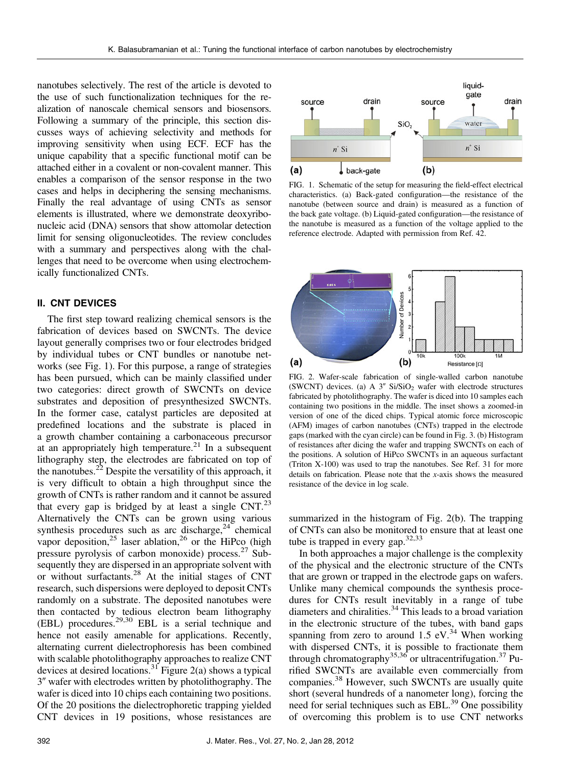nanotubes selectively. The rest of the article is devoted to the use of such functionalization techniques for the realization of nanoscale chemical sensors and biosensors. Following a summary of the principle, this section discusses ways of achieving selectivity and methods for improving sensitivity when using ECF. ECF has the unique capability that a specific functional motif can be attached either in a covalent or non-covalent manner. This enables a comparison of the sensor response in the two cases and helps in deciphering the sensing mechanisms. Finally the real advantage of using CNTs as sensor elements is illustrated, where we demonstrate deoxyribonucleic acid (DNA) sensors that show attomolar detection limit for sensing oligonucleotides. The review concludes with a summary and perspectives along with the challenges that need to be overcome when using electrochemically functionalized CNTs.

#### II. CNT DEVICES

The first step toward realizing chemical sensors is the fabrication of devices based on SWCNTs. The device layout generally comprises two or four electrodes bridged by individual tubes or CNT bundles or nanotube networks (see Fig. 1). For this purpose, a range of strategies has been pursued, which can be mainly classified under two categories: direct growth of SWCNTs on device substrates and deposition of presynthesized SWCNTs. In the former case, catalyst particles are deposited at predefined locations and the substrate is placed in a growth chamber containing a carbonaceous precursor at an appropriately high temperature.<sup>21</sup> In a subsequent lithography step, the electrodes are fabricated on top of the nanotubes. $^{22}$  Despite the versatility of this approach, it is very difficult to obtain a high throughput since the growth of CNTs is rather random and it cannot be assured that every gap is bridged by at least a single  $CNT.^{23}$ Alternatively the CNTs can be grown using various synthesis procedures such as arc discharge, $^{24}$  chemical vapor deposition,<sup>25</sup> laser ablation,<sup>26</sup> or the HiPco (high pressure pyrolysis of carbon monoxide) process. $27$  Subsequently they are dispersed in an appropriate solvent with or without surfactants.28 At the initial stages of CNT research, such dispersions were deployed to deposit CNTs randomly on a substrate. The deposited nanotubes were then contacted by tedious electron beam lithography  $(EBL)$  procedures.<sup>29,30</sup> EBL is a serial technique and hence not easily amenable for applications. Recently, alternating current dielectrophoresis has been combined with scalable photolithography approaches to realize CNT devices at desired locations.<sup>31</sup> Figure 2(a) shows a typical 3" wafer with electrodes written by photolithography. The wafer is diced into 10 chips each containing two positions. Of the 20 positions the dielectrophoretic trapping yielded CNT devices in 19 positions, whose resistances are



FIG. 1. Schematic of the setup for measuring the field-effect electrical characteristics. (a) Back-gated configuration—the resistance of the nanotube (between source and drain) is measured as a function of the back gate voltage. (b) Liquid-gated configuration—the resistance of the nanotube is measured as a function of the voltage applied to the reference electrode. Adapted with permission from Ref. 42.



FIG. 2. Wafer-scale fabrication of single-walled carbon nanotube (SWCNT) devices. (a) A  $3''$  Si/SiO<sub>2</sub> wafer with electrode structures fabricated by photolithography. The wafer is diced into 10 samples each containing two positions in the middle. The inset shows a zoomed-in version of one of the diced chips. Typical atomic force microscopic (AFM) images of carbon nanotubes (CNTs) trapped in the electrode gaps (marked with the cyan circle) can be found in Fig. 3. (b) Histogram of resistances after dicing the wafer and trapping SWCNTs on each of the positions. A solution of HiPco SWCNTs in an aqueous surfactant (Triton X-100) was used to trap the nanotubes. See Ref. 31 for more details on fabrication. Please note that the x-axis shows the measured resistance of the device in log scale.

summarized in the histogram of Fig. 2(b). The trapping of CNTs can also be monitored to ensure that at least one tube is trapped in every gap.  $32,33$ 

In both approaches a major challenge is the complexity of the physical and the electronic structure of the CNTs that are grown or trapped in the electrode gaps on wafers. Unlike many chemical compounds the synthesis procedures for CNTs result inevitably in a range of tube diameters and chiralities. $34$  This leads to a broad variation in the electronic structure of the tubes, with band gaps spanning from zero to around 1.5 eV.<sup>34</sup> When working with dispersed CNTs, it is possible to fractionate them through chromatography<sup>35,36</sup> or ultracentrifugation.<sup>37</sup> Purified SWCNTs are available even commercially from companies.<sup>38</sup> However, such SWCNTs are usually quite short (several hundreds of a nanometer long), forcing the need for serial techniques such as EBL.<sup>39</sup> One possibility of overcoming this problem is to use CNT networks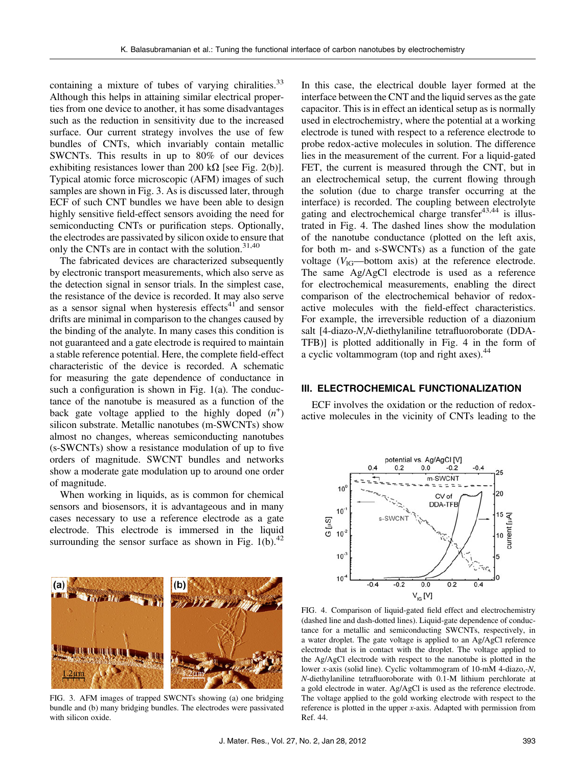containing a mixture of tubes of varying chiralities.<sup>33</sup> Although this helps in attaining similar electrical properties from one device to another, it has some disadvantages such as the reduction in sensitivity due to the increased surface. Our current strategy involves the use of few bundles of CNTs, which invariably contain metallic SWCNTs. This results in up to 80% of our devices exhibiting resistances lower than 200 k $\Omega$  [see Fig. 2(b)]. Typical atomic force microscopic (AFM) images of such samples are shown in Fig. 3. As is discussed later, through ECF of such CNT bundles we have been able to design highly sensitive field-effect sensors avoiding the need for semiconducting CNTs or purification steps. Optionally, the electrodes are passivated by silicon oxide to ensure that only the CNTs are in contact with the solution.<sup>31,40</sup>

The fabricated devices are characterized subsequently by electronic transport measurements, which also serve as the detection signal in sensor trials. In the simplest case, the resistance of the device is recorded. It may also serve as a sensor signal when hysteresis effects $41$  and sensor drifts are minimal in comparison to the changes caused by the binding of the analyte. In many cases this condition is not guaranteed and a gate electrode is required to maintain a stable reference potential. Here, the complete field-effect characteristic of the device is recorded. A schematic for measuring the gate dependence of conductance in such a configuration is shown in Fig. 1(a). The conductance of the nanotube is measured as a function of the back gate voltage applied to the highly doped  $(n^+)$ silicon substrate. Metallic nanotubes (m-SWCNTs) show almost no changes, whereas semiconducting nanotubes (s-SWCNTs) show a resistance modulation of up to five orders of magnitude. SWCNT bundles and networks show a moderate gate modulation up to around one order of magnitude.

When working in liquids, as is common for chemical sensors and biosensors, it is advantageous and in many cases necessary to use a reference electrode as a gate electrode. This electrode is immersed in the liquid surrounding the sensor surface as shown in Fig. 1(b).<sup>42</sup>



FIG. 3. AFM images of trapped SWCNTs showing (a) one bridging bundle and (b) many bridging bundles. The electrodes were passivated with silicon oxide.

In this case, the electrical double layer formed at the interface between the CNT and the liquid serves as the gate capacitor. This is in effect an identical setup as is normally used in electrochemistry, where the potential at a working electrode is tuned with respect to a reference electrode to probe redox-active molecules in solution. The difference lies in the measurement of the current. For a liquid-gated FET, the current is measured through the CNT, but in an electrochemical setup, the current flowing through the solution (due to charge transfer occurring at the interface) is recorded. The coupling between electrolyte gating and electrochemical charge transfer<sup>43,44</sup> is illustrated in Fig. 4. The dashed lines show the modulation of the nanotube conductance (plotted on the left axis, for both m- and s-SWCNTs) as a function of the gate voltage  $(V_{IG}$ —bottom axis) at the reference electrode. The same Ag/AgCl electrode is used as a reference for electrochemical measurements, enabling the direct comparison of the electrochemical behavior of redoxactive molecules with the field-effect characteristics. For example, the irreversible reduction of a diazonium salt [4-diazo-N,N-diethylaniline tetrafluoroborate (DDA-TFB)] is plotted additionally in Fig. 4 in the form of a cyclic voltammogram (top and right axes).<sup>44</sup>

## III. ELECTROCHEMICAL FUNCTIONALIZATION

ECF involves the oxidation or the reduction of redoxactive molecules in the vicinity of CNTs leading to the



FIG. 4. Comparison of liquid-gated field effect and electrochemistry (dashed line and dash-dotted lines). Liquid-gate dependence of conductance for a metallic and semiconducting SWCNTs, respectively, in a water droplet. The gate voltage is applied to an Ag/AgCl reference electrode that is in contact with the droplet. The voltage applied to the Ag/AgCl electrode with respect to the nanotube is plotted in the lower x-axis (solid line). Cyclic voltammogram of 10-mM 4-diazo,-N, N-diethylaniline tetrafluoroborate with 0.1-M lithium perchlorate at a gold electrode in water. Ag/AgCl is used as the reference electrode. The voltage applied to the gold working electrode with respect to the reference is plotted in the upper x-axis. Adapted with permission from Ref. 44.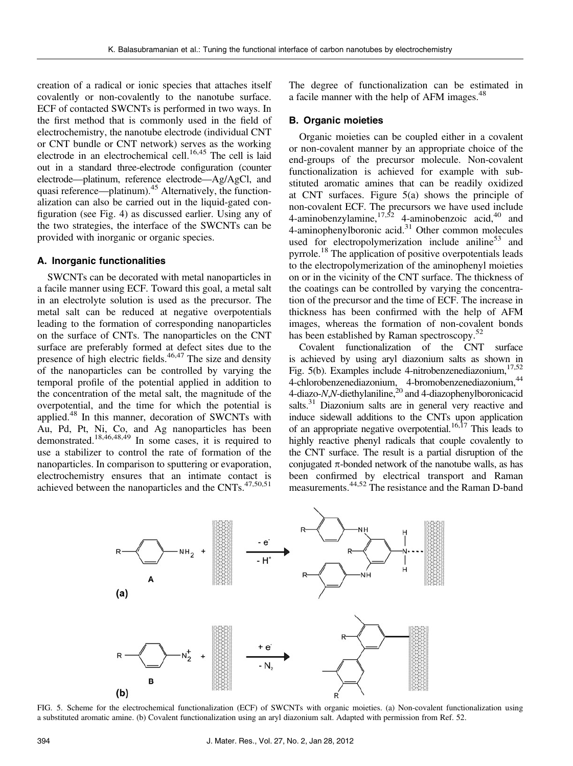creation of a radical or ionic species that attaches itself covalently or non-covalently to the nanotube surface. ECF of contacted SWCNTs is performed in two ways. In the first method that is commonly used in the field of electrochemistry, the nanotube electrode (individual CNT or CNT bundle or CNT network) serves as the working electrode in an electrochemical cell.<sup>16,45</sup> The cell is laid out in a standard three-electrode configuration (counter electrode—platinum, reference electrode—Ag/AgCl, and quasi reference—platinum).<sup>45</sup> Alternatively, the functionalization can also be carried out in the liquid-gated configuration (see Fig. 4) as discussed earlier. Using any of the two strategies, the interface of the SWCNTs can be provided with inorganic or organic species.

## A. Inorganic functionalities

SWCNTs can be decorated with metal nanoparticles in a facile manner using ECF. Toward this goal, a metal salt in an electrolyte solution is used as the precursor. The metal salt can be reduced at negative overpotentials leading to the formation of corresponding nanoparticles on the surface of CNTs. The nanoparticles on the CNT surface are preferably formed at defect sites due to the presence of high electric fields. $46,47$  The size and density of the nanoparticles can be controlled by varying the temporal profile of the potential applied in addition to the concentration of the metal salt, the magnitude of the overpotential, and the time for which the potential is applied.<sup>48</sup> In this manner, decoration of SWCNTs with Au, Pd, Pt, Ni, Co, and Ag nanoparticles has been demonstrated.<sup>18,46,48,49</sup> In some cases, it is required to use a stabilizer to control the rate of formation of the nanoparticles. In comparison to sputtering or evaporation, electrochemistry ensures that an intimate contact is achieved between the nanoparticles and the CNTs. $47,50,51$ 

The degree of functionalization can be estimated in a facile manner with the help of AFM images.<sup>48</sup>

## B. Organic moieties

Organic moieties can be coupled either in a covalent or non-covalent manner by an appropriate choice of the end-groups of the precursor molecule. Non-covalent functionalization is achieved for example with substituted aromatic amines that can be readily oxidized at CNT surfaces. Figure 5(a) shows the principle of non-covalent ECF. The precursors we have used include 4-aminobenzylamine,  $17,52$  4-aminobenzoic acid,  $40$  and 4-aminophenylboronic acid.<sup>31</sup> Other common molecules used for electropolymerization include aniline $53$  and pyrrole.18 The application of positive overpotentials leads to the electropolymerization of the aminophenyl moieties on or in the vicinity of the CNT surface. The thickness of the coatings can be controlled by varying the concentration of the precursor and the time of ECF. The increase in thickness has been confirmed with the help of AFM images, whereas the formation of non-covalent bonds has been established by Raman spectroscopy.<sup>52</sup>

Covalent functionalization of the CNT surface is achieved by using aryl diazonium salts as shown in Fig. 5(b). Examples include 4-nitrobenzenediazonium, 17,52 4-chlorobenzenediazonium, 4-bromobenzenediazonium, 44 4-diazo-N,N-diethylaniline,<sup>20</sup> and 4-diazophenylboronicacid salts.<sup>31</sup> Diazonium salts are in general very reactive and induce sidewall additions to the CNTs upon application of an appropriate negative overpotential.<sup>16,17</sup> This leads to highly reactive phenyl radicals that couple covalently to the CNT surface. The result is a partial disruption of the conjugated  $\pi$ -bonded network of the nanotube walls, as has been confirmed by electrical transport and Raman measurements.44,52 The resistance and the Raman D-band



FIG. 5. Scheme for the electrochemical functionalization (ECF) of SWCNTs with organic moieties. (a) Non-covalent functionalization using a substituted aromatic amine. (b) Covalent functionalization using an aryl diazonium salt. Adapted with permission from Ref. 52.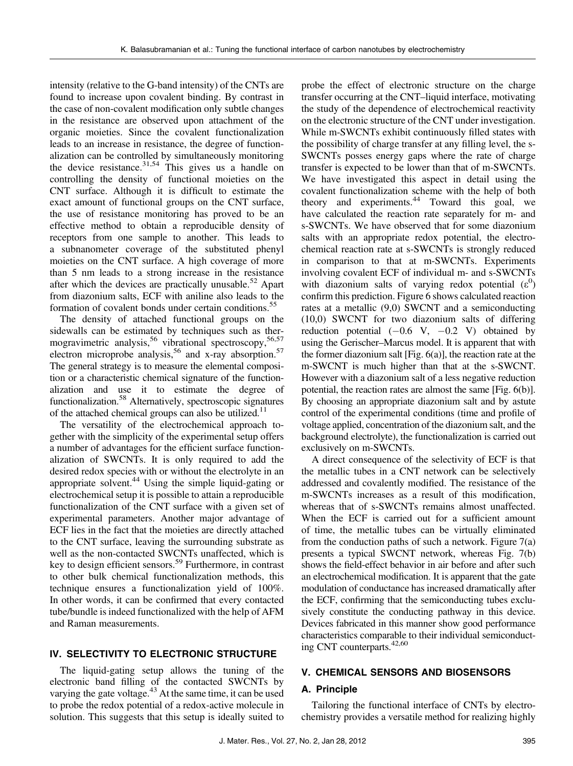intensity (relative to the G-band intensity) of the CNTs are found to increase upon covalent binding. By contrast in the case of non-covalent modification only subtle changes in the resistance are observed upon attachment of the organic moieties. Since the covalent functionalization leads to an increase in resistance, the degree of functionalization can be controlled by simultaneously monitoring the device resistance. $31,54$  This gives us a handle on controlling the density of functional moieties on the CNT surface. Although it is difficult to estimate the exact amount of functional groups on the CNT surface, the use of resistance monitoring has proved to be an effective method to obtain a reproducible density of receptors from one sample to another. This leads to a subnanometer coverage of the substituted phenyl moieties on the CNT surface. A high coverage of more than 5 nm leads to a strong increase in the resistance after which the devices are practically unusable.<sup>52</sup> Apart from diazonium salts, ECF with aniline also leads to the formation of covalent bonds under certain conditions.<sup>55</sup>

The density of attached functional groups on the sidewalls can be estimated by techniques such as thermogravimetric analysis,<sup>56</sup> vibrational spectroscopy,<sup>56,57</sup> electron microprobe analysis,<sup>56</sup> and x-ray absorption.<sup>57</sup> The general strategy is to measure the elemental composition or a characteristic chemical signature of the functionalization and use it to estimate the degree of functionalization.58 Alternatively, spectroscopic signatures of the attached chemical groups can also be utilized.<sup>11</sup>

The versatility of the electrochemical approach together with the simplicity of the experimental setup offers a number of advantages for the efficient surface functionalization of SWCNTs. It is only required to add the desired redox species with or without the electrolyte in an appropriate solvent.44 Using the simple liquid-gating or electrochemical setup it is possible to attain a reproducible functionalization of the CNT surface with a given set of experimental parameters. Another major advantage of ECF lies in the fact that the moieties are directly attached to the CNT surface, leaving the surrounding substrate as well as the non-contacted SWCNTs unaffected, which is key to design efficient sensors.<sup>59</sup> Furthermore, in contrast to other bulk chemical functionalization methods, this technique ensures a functionalization yield of 100%. In other words, it can be confirmed that every contacted tube/bundle is indeed functionalized with the help of AFM and Raman measurements.

## IV. SELECTIVITY TO ELECTRONIC STRUCTURE

The liquid-gating setup allows the tuning of the electronic band filling of the contacted SWCNTs by varying the gate voltage.43 At the same time, it can be used to probe the redox potential of a redox-active molecule in solution. This suggests that this setup is ideally suited to

probe the effect of electronic structure on the charge transfer occurring at the CNT–liquid interface, motivating the study of the dependence of electrochemical reactivity on the electronic structure of the CNT under investigation. While m-SWCNTs exhibit continuously filled states with the possibility of charge transfer at any filling level, the s-SWCNTs posses energy gaps where the rate of charge transfer is expected to be lower than that of m-SWCNTs. We have investigated this aspect in detail using the covalent functionalization scheme with the help of both theory and experiments.<sup>44</sup> Toward this goal, we have calculated the reaction rate separately for m- and s-SWCNTs. We have observed that for some diazonium salts with an appropriate redox potential, the electrochemical reaction rate at s-SWCNTs is strongly reduced in comparison to that at m-SWCNTs. Experiments involving covalent ECF of individual m- and s-SWCNTs with diazonium salts of varying redox potential  $(\epsilon^0)$ confirm this prediction. Figure 6 shows calculated reaction rates at a metallic (9,0) SWCNT and a semiconducting (10,0) SWCNT for two diazonium salts of differing reduction potential  $(-0.6 \text{ V}, -0.2 \text{ V})$  obtained by using the Gerischer–Marcus model. It is apparent that with the former diazonium salt [Fig. 6(a)], the reaction rate at the m-SWCNT is much higher than that at the s-SWCNT. However with a diazonium salt of a less negative reduction potential, the reaction rates are almost the same [Fig. 6(b)]. By choosing an appropriate diazonium salt and by astute control of the experimental conditions (time and profile of voltage applied, concentration of the diazonium salt, and the background electrolyte), the functionalization is carried out exclusively on m-SWCNTs.

A direct consequence of the selectivity of ECF is that the metallic tubes in a CNT network can be selectively addressed and covalently modified. The resistance of the m-SWCNTs increases as a result of this modification, whereas that of s-SWCNTs remains almost unaffected. When the ECF is carried out for a sufficient amount of time, the metallic tubes can be virtually eliminated from the conduction paths of such a network. Figure 7(a) presents a typical SWCNT network, whereas Fig. 7(b) shows the field-effect behavior in air before and after such an electrochemical modification. It is apparent that the gate modulation of conductance has increased dramatically after the ECF, confirming that the semiconducting tubes exclusively constitute the conducting pathway in this device. Devices fabricated in this manner show good performance characteristics comparable to their individual semiconducting CNT counterparts.<sup>42,60</sup>

## V. CHEMICAL SENSORS AND BIOSENSORS

## A. Principle

Tailoring the functional interface of CNTs by electrochemistry provides a versatile method for realizing highly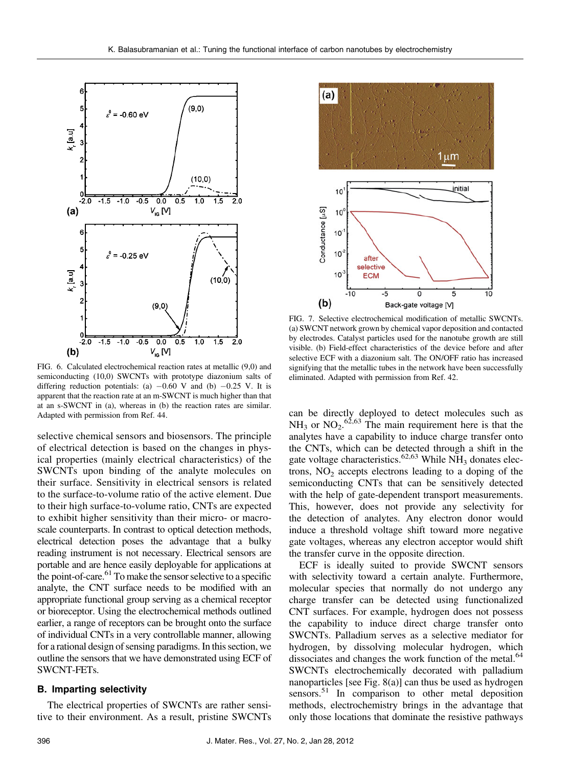

FIG. 6. Calculated electrochemical reaction rates at metallic (9,0) and semiconducting (10,0) SWCNTs with prototype diazonium salts of differing reduction potentials: (a)  $-0.60$  V and (b)  $-0.25$  V. It is apparent that the reaction rate at an m-SWCNT is much higher than that at an s-SWCNT in (a), whereas in (b) the reaction rates are similar. Adapted with permission from Ref. 44.

selective chemical sensors and biosensors. The principle of electrical detection is based on the changes in physical properties (mainly electrical characteristics) of the SWCNTs upon binding of the analyte molecules on their surface. Sensitivity in electrical sensors is related to the surface-to-volume ratio of the active element. Due to their high surface-to-volume ratio, CNTs are expected to exhibit higher sensitivity than their micro- or macroscale counterparts. In contrast to optical detection methods, electrical detection poses the advantage that a bulky reading instrument is not necessary. Electrical sensors are portable and are hence easily deployable for applications at the point-of-care. $61$  To make the sensor selective to a specific analyte, the CNT surface needs to be modified with an appropriate functional group serving as a chemical receptor or bioreceptor. Using the electrochemical methods outlined earlier, a range of receptors can be brought onto the surface of individual CNTs in a very controllable manner, allowing for a rational design of sensing paradigms. In this section, we outline the sensors that we have demonstrated using ECF of SWCNT-FETs.

## B. Imparting selectivity

The electrical properties of SWCNTs are rather sensitive to their environment. As a result, pristine SWCNTs



FIG. 7. Selective electrochemical modification of metallic SWCNTs. (a) SWCNT network grown by chemical vapor deposition and contacted by electrodes. Catalyst particles used for the nanotube growth are still visible. (b) Field-effect characteristics of the device before and after selective ECF with a diazonium salt. The ON/OFF ratio has increased signifying that the metallic tubes in the network have been successfully eliminated. Adapted with permission from Ref. 42.

can be directly deployed to detect molecules such as  $NH_3$  or  $NO_2$ .<sup>62,63</sup> The main requirement here is that the analytes have a capability to induce charge transfer onto the CNTs, which can be detected through a shift in the gate voltage characteristics. $62,63$  While NH<sub>3</sub> donates electrons,  $NO<sub>2</sub>$  accepts electrons leading to a doping of the semiconducting CNTs that can be sensitively detected with the help of gate-dependent transport measurements. This, however, does not provide any selectivity for the detection of analytes. Any electron donor would induce a threshold voltage shift toward more negative gate voltages, whereas any electron acceptor would shift the transfer curve in the opposite direction.

ECF is ideally suited to provide SWCNT sensors with selectivity toward a certain analyte. Furthermore, molecular species that normally do not undergo any charge transfer can be detected using functionalized CNT surfaces. For example, hydrogen does not possess the capability to induce direct charge transfer onto SWCNTs. Palladium serves as a selective mediator for hydrogen, by dissolving molecular hydrogen, which dissociates and changes the work function of the metal.<sup>64</sup> SWCNTs electrochemically decorated with palladium nanoparticles [see Fig. 8(a)] can thus be used as hydrogen sensors.<sup>51</sup> In comparison to other metal deposition methods, electrochemistry brings in the advantage that only those locations that dominate the resistive pathways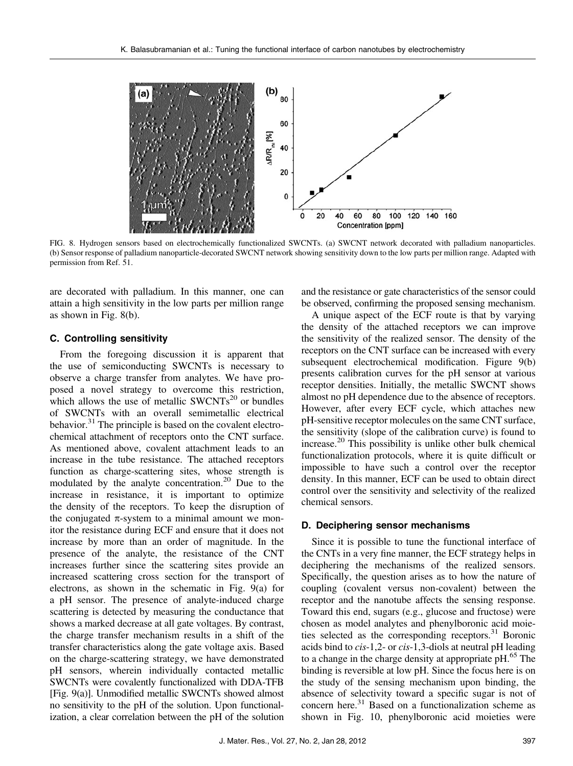

FIG. 8. Hydrogen sensors based on electrochemically functionalized SWCNTs. (a) SWCNT network decorated with palladium nanoparticles. (b) Sensor response of palladium nanoparticle-decorated SWCNT network showing sensitivity down to the low parts per million range. Adapted with permission from Ref. 51.

are decorated with palladium. In this manner, one can attain a high sensitivity in the low parts per million range as shown in Fig. 8(b).

## C. Controlling sensitivity

From the foregoing discussion it is apparent that the use of semiconducting SWCNTs is necessary to observe a charge transfer from analytes. We have proposed a novel strategy to overcome this restriction, which allows the use of metallic  $\text{SWCNTs}^{20}$  or bundles of SWCNTs with an overall semimetallic electrical behavior. $31$  The principle is based on the covalent electrochemical attachment of receptors onto the CNT surface. As mentioned above, covalent attachment leads to an increase in the tube resistance. The attached receptors function as charge-scattering sites, whose strength is modulated by the analyte concentration.<sup>20</sup> Due to the increase in resistance, it is important to optimize the density of the receptors. To keep the disruption of the conjugated  $\pi$ -system to a minimal amount we monitor the resistance during ECF and ensure that it does not increase by more than an order of magnitude. In the presence of the analyte, the resistance of the CNT increases further since the scattering sites provide an increased scattering cross section for the transport of electrons, as shown in the schematic in Fig. 9(a) for a pH sensor. The presence of analyte-induced charge scattering is detected by measuring the conductance that shows a marked decrease at all gate voltages. By contrast, the charge transfer mechanism results in a shift of the transfer characteristics along the gate voltage axis. Based on the charge-scattering strategy, we have demonstrated pH sensors, wherein individually contacted metallic SWCNTs were covalently functionalized with DDA-TFB [Fig. 9(a)]. Unmodified metallic SWCNTs showed almost no sensitivity to the pH of the solution. Upon functionalization, a clear correlation between the pH of the solution and the resistance or gate characteristics of the sensor could be observed, confirming the proposed sensing mechanism.

A unique aspect of the ECF route is that by varying the density of the attached receptors we can improve the sensitivity of the realized sensor. The density of the receptors on the CNT surface can be increased with every subsequent electrochemical modification. Figure 9(b) presents calibration curves for the pH sensor at various receptor densities. Initially, the metallic SWCNT shows almost no pH dependence due to the absence of receptors. However, after every ECF cycle, which attaches new pH-sensitive receptor molecules on the same CNT surface, the sensitivity (slope of the calibration curve) is found to increase.<sup>20</sup> This possibility is unlike other bulk chemical functionalization protocols, where it is quite difficult or impossible to have such a control over the receptor density. In this manner, ECF can be used to obtain direct control over the sensitivity and selectivity of the realized chemical sensors.

## D. Deciphering sensor mechanisms

Since it is possible to tune the functional interface of the CNTs in a very fine manner, the ECF strategy helps in deciphering the mechanisms of the realized sensors. Specifically, the question arises as to how the nature of coupling (covalent versus non-covalent) between the receptor and the nanotube affects the sensing response. Toward this end, sugars (e.g., glucose and fructose) were chosen as model analytes and phenylboronic acid moieties selected as the corresponding receptors. $31$  Boronic acids bind to  $cis-1,2$ - or  $cis-1,3$ -diols at neutral pH leading to a change in the charge density at appropriate  $pH<sup>65</sup>$ . The binding is reversible at low pH. Since the focus here is on the study of the sensing mechanism upon binding, the absence of selectivity toward a specific sugar is not of concern here.<sup>31</sup> Based on a functionalization scheme as shown in Fig. 10, phenylboronic acid moieties were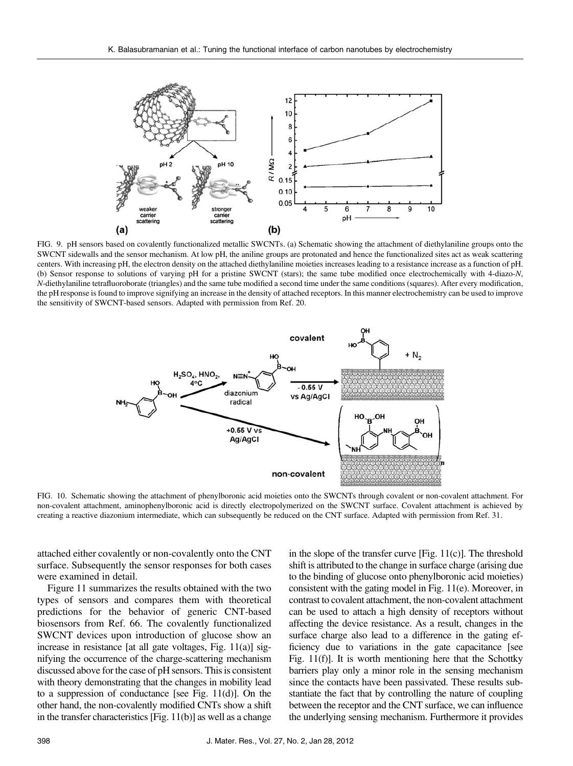

FIG. 9. pH sensors based on covalently functionalized metallic SWCNTs. (a) Schematic showing the attachment of diethylaniline groups onto the SWCNT sidewalls and the sensor mechanism. At low pH, the aniline groups are protonated and hence the functionalized sites act as weak scattering centers. With increasing pH, the electron density on the attached diethylaniline moieties increases leading to a resistance increase as a function of pH. (b) Sensor response to solutions of varying pH for a pristine SWCNT (stars); the same tube modified once electrochemically with 4-diazo-N, N-diethylaniline tetrafluoroborate (triangles) and the same tube modified a second time under the same conditions (squares). After every modification, the pH response is found to improve signifying an increase in the density of attached receptors. In this manner electrochemistry can be used to improve the sensitivity of SWCNT-based sensors. Adapted with permission from Ref. 20.



FIG. 10. Schematic showing the attachment of phenylboronic acid moieties onto the SWCNTs through covalent or non-covalent attachment. For non-covalent attachment, aminophenylboronic acid is directly electropolymerized on the SWCNT surface. Covalent attachment is achieved by creating a reactive diazonium intermediate, which can subsequently be reduced on the CNT surface. Adapted with permission from Ref. 31.

attached either covalently or non-covalently onto the CNT surface. Subsequently the sensor responses for both cases were examined in detail.

Figure 11 summarizes the results obtained with the two types of sensors and compares them with theoretical predictions for the behavior of generic CNT-based biosensors from Ref. 66. The covalently functionalized SWCNT devices upon introduction of glucose show an increase in resistance [at all gate voltages, Fig. 11(a)] signifying the occurrence of the charge-scattering mechanism discussed above for the case of pH sensors. This is consistent with theory demonstrating that the changes in mobility lead to a suppression of conductance [see Fig. 11(d)]. On the other hand, the non-covalently modified CNTs show a shift in the transfer characteristics [Fig. 11(b)] as well as a change in the slope of the transfer curve  $[Fig. 11(c)]$ . The threshold shift is attributed to the change in surface charge (arising due to the binding of glucose onto phenylboronic acid moieties) consistent with the gating model in Fig. 11(e). Moreover, in contrast to covalent attachment, the non-covalent attachment can be used to attach a high density of receptors without affecting the device resistance. As a result, changes in the surface charge also lead to a difference in the gating efficiency due to variations in the gate capacitance [see Fig. 11(f)]. It is worth mentioning here that the Schottky barriers play only a minor role in the sensing mechanism since the contacts have been passivated. These results substantiate the fact that by controlling the nature of coupling between the receptor and the CNT surface, we can influence the underlying sensing mechanism. Furthermore it provides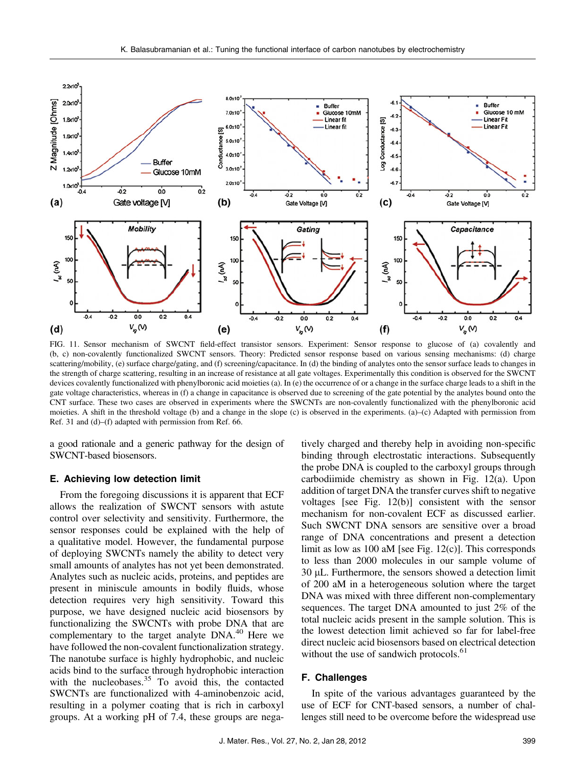

FIG. 11. Sensor mechanism of SWCNT field-effect transistor sensors. Experiment: Sensor response to glucose of (a) covalently and (b, c) non-covalently functionalized SWCNT sensors. Theory: Predicted sensor response based on various sensing mechanisms: (d) charge scattering/mobility, (e) surface charge/gating, and (f) screening/capacitance. In (d) the binding of analytes onto the sensor surface leads to changes in the strength of charge scattering, resulting in an increase of resistance at all gate voltages. Experimentally this condition is observed for the SWCNT devices covalently functionalized with phenylboronic acid moieties (a). In (e) the occurrence of or a change in the surface charge leads to a shift in the gate voltage characteristics, whereas in (f) a change in capacitance is observed due to screening of the gate potential by the analytes bound onto the CNT surface. These two cases are observed in experiments where the SWCNTs are non-covalently functionalized with the phenylboronic acid moieties. A shift in the threshold voltage (b) and a change in the slope (c) is observed in the experiments. (a)–(c) Adapted with permission from Ref. 31 and (d)–(f) adapted with permission from Ref. 66.

a good rationale and a generic pathway for the design of SWCNT-based biosensors.

## E. Achieving low detection limit

From the foregoing discussions it is apparent that ECF allows the realization of SWCNT sensors with astute control over selectivity and sensitivity. Furthermore, the sensor responses could be explained with the help of a qualitative model. However, the fundamental purpose of deploying SWCNTs namely the ability to detect very small amounts of analytes has not yet been demonstrated. Analytes such as nucleic acids, proteins, and peptides are present in miniscule amounts in bodily fluids, whose detection requires very high sensitivity. Toward this purpose, we have designed nucleic acid biosensors by functionalizing the SWCNTs with probe DNA that are complementary to the target analyte DNA.<sup>40</sup> Here we have followed the non-covalent functionalization strategy. The nanotube surface is highly hydrophobic, and nucleic acids bind to the surface through hydrophobic interaction with the nucleobases. $35$  To avoid this, the contacted SWCNTs are functionalized with 4-aminobenzoic acid, resulting in a polymer coating that is rich in carboxyl groups. At a working pH of 7.4, these groups are nega-

tively charged and thereby help in avoiding non-specific binding through electrostatic interactions. Subsequently the probe DNA is coupled to the carboxyl groups through carbodiimide chemistry as shown in Fig. 12(a). Upon addition of target DNA the transfer curves shift to negative voltages [see Fig. 12(b)] consistent with the sensor mechanism for non-covalent ECF as discussed earlier. Such SWCNT DNA sensors are sensitive over a broad range of DNA concentrations and present a detection limit as low as 100 aM [see Fig. 12(c)]. This corresponds to less than 2000 molecules in our sample volume of 30 µL. Furthermore, the sensors showed a detection limit of 200 aM in a heterogeneous solution where the target DNA was mixed with three different non-complementary sequences. The target DNA amounted to just 2% of the total nucleic acids present in the sample solution. This is the lowest detection limit achieved so far for label-free direct nucleic acid biosensors based on electrical detection without the use of sandwich protocols.<sup>61</sup>

#### F. Challenges

In spite of the various advantages guaranteed by the use of ECF for CNT-based sensors, a number of challenges still need to be overcome before the widespread use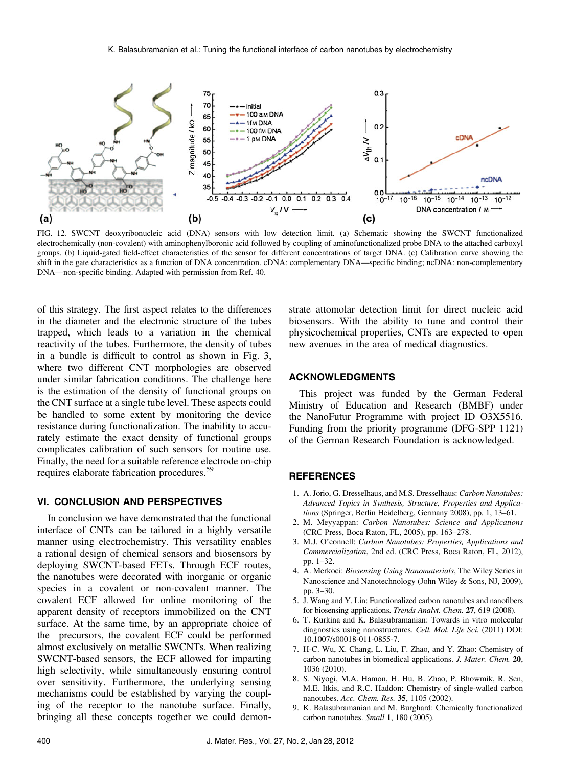

FIG. 12. SWCNT deoxyribonucleic acid (DNA) sensors with low detection limit. (a) Schematic showing the SWCNT functionalized electrochemically (non-covalent) with aminophenylboronic acid followed by coupling of aminofunctionalized probe DNA to the attached carboxyl groups. (b) Liquid-gated field-effect characteristics of the sensor for different concentrations of target DNA. (c) Calibration curve showing the shift in the gate characteristics as a function of DNA concentration. cDNA: complementary DNA—specific binding; ncDNA: non-complementary DNA—non-specific binding. Adapted with permission from Ref. 40.

of this strategy. The first aspect relates to the differences in the diameter and the electronic structure of the tubes trapped, which leads to a variation in the chemical reactivity of the tubes. Furthermore, the density of tubes in a bundle is difficult to control as shown in Fig. 3, where two different CNT morphologies are observed under similar fabrication conditions. The challenge here is the estimation of the density of functional groups on the CNT surface at a single tube level. These aspects could be handled to some extent by monitoring the device resistance during functionalization. The inability to accurately estimate the exact density of functional groups complicates calibration of such sensors for routine use. Finally, the need for a suitable reference electrode on-chip requires elaborate fabrication procedures.<sup>59</sup>

## VI. CONCLUSION AND PERSPECTIVES

In conclusion we have demonstrated that the functional interface of CNTs can be tailored in a highly versatile manner using electrochemistry. This versatility enables a rational design of chemical sensors and biosensors by deploying SWCNT-based FETs. Through ECF routes, the nanotubes were decorated with inorganic or organic species in a covalent or non-covalent manner. The covalent ECF allowed for online monitoring of the apparent density of receptors immobilized on the CNT surface. At the same time, by an appropriate choice of the precursors, the covalent ECF could be performed almost exclusively on metallic SWCNTs. When realizing SWCNT-based sensors, the ECF allowed for imparting high selectivity, while simultaneously ensuring control over sensitivity. Furthermore, the underlying sensing mechanisms could be established by varying the coupling of the receptor to the nanotube surface. Finally, bringing all these concepts together we could demonstrate attomolar detection limit for direct nucleic acid biosensors. With the ability to tune and control their physicochemical properties, CNTs are expected to open new avenues in the area of medical diagnostics.

#### ACKNOWLEDGMENTS

This project was funded by the German Federal Ministry of Education and Research (BMBF) under the NanoFutur Programme with project ID O3X5516. Funding from the priority programme (DFG-SPP 1121) of the German Research Foundation is acknowledged.

## **REFERENCES**

- 1. A. Jorio, G. Dresselhaus, and M.S. Dresselhaus: Carbon Nanotubes: Advanced Topics in Synthesis, Structure, Properties and Applications (Springer, Berlin Heidelberg, Germany 2008), pp. 1, 13–61.
- 2. M. Meyyappan: Carbon Nanotubes: Science and Applications (CRC Press, Boca Raton, FL, 2005), pp. 163–278.
- 3. M.J. O'connell: Carbon Nanotubes: Properties, Applications and Commercialization, 2nd ed. (CRC Press, Boca Raton, FL, 2012), pp. 1–32.
- 4. A. Merkoci: Biosensing Using Nanomaterials, The Wiley Series in Nanoscience and Nanotechnology (John Wiley & Sons, NJ, 2009), pp. 3–30.
- 5. J. Wang and Y. Lin: Functionalized carbon nanotubes and nanofibers for biosensing applications. Trends Analyt. Chem. 27, 619 (2008).
- 6. T. Kurkina and K. Balasubramanian: Towards in vitro molecular diagnostics using nanostructures. Cell. Mol. Life Sci. (2011) DOI: 10.1007/s00018-011-0855-7.
- 7. H-C. Wu, X. Chang, L. Liu, F. Zhao, and Y. Zhao: Chemistry of carbon nanotubes in biomedical applications. J. Mater. Chem. 20, 1036 (2010).
- 8. S. Niyogi, M.A. Hamon, H. Hu, B. Zhao, P. Bhowmik, R. Sen, M.E. Itkis, and R.C. Haddon: Chemistry of single-walled carbon nanotubes. Acc. Chem. Res. 35, 1105 (2002).
- 9. K. Balasubramanian and M. Burghard: Chemically functionalized carbon nanotubes. Small 1, 180 (2005).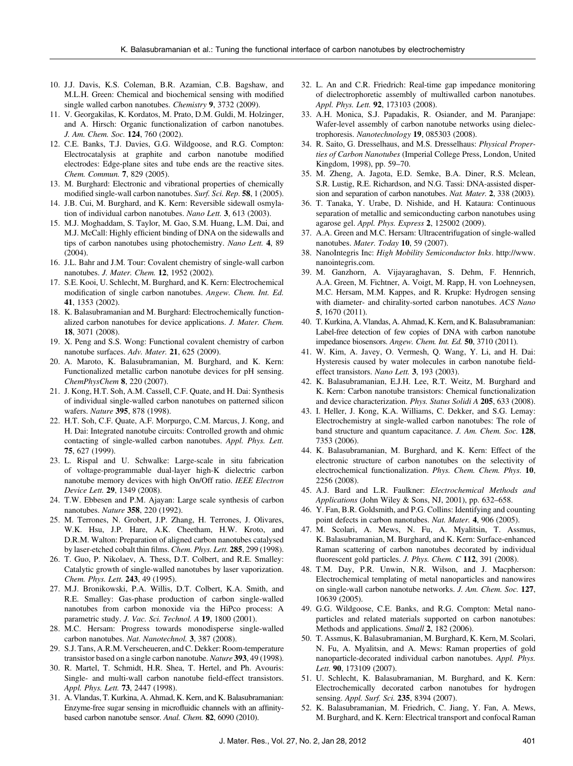- 10. J.J. Davis, K.S. Coleman, B.R. Azamian, C.B. Bagshaw, and M.L.H. Green: Chemical and biochemical sensing with modified single walled carbon nanotubes. Chemistry 9, 3732 (2009).
- 11. V. Georgakilas, K. Kordatos, M. Prato, D.M. Guldi, M. Holzinger, and A. Hirsch: Organic functionalization of carbon nanotubes. J. Am. Chem. Soc. 124, 760 (2002).
- 12. C.E. Banks, T.J. Davies, G.G. Wildgoose, and R.G. Compton: Electrocatalysis at graphite and carbon nanotube modified electrodes: Edge-plane sites and tube ends are the reactive sites. Chem. Commun. 7, 829 (2005).
- 13. M. Burghard: Electronic and vibrational properties of chemically modified single-wall carbon nanotubes. Surf. Sci. Rep. 58, 1 (2005).
- 14. J.B. Cui, M. Burghard, and K. Kern: Reversible sidewall osmylation of individual carbon nanotubes. Nano Lett. 3, 613 (2003).
- 15. M.J. Moghaddam, S. Taylor, M. Gao, S.M. Huang, L.M. Dai, and M.J. McCall: Highly efficient binding of DNA on the sidewalls and tips of carbon nanotubes using photochemistry. Nano Lett. 4, 89 (2004).
- 16. J.L. Bahr and J.M. Tour: Covalent chemistry of single-wall carbon nanotubes. J. Mater. Chem. 12, 1952 (2002).
- 17. S.E. Kooi, U. Schlecht, M. Burghard, and K. Kern: Electrochemical modification of single carbon nanotubes. Angew. Chem. Int. Ed. 41, 1353 (2002).
- 18. K. Balasubramanian and M. Burghard: Electrochemically functionalized carbon nanotubes for device applications. J. Mater. Chem. 18, 3071 (2008).
- 19. X. Peng and S.S. Wong: Functional covalent chemistry of carbon nanotube surfaces. Adv. Mater. 21, 625 (2009).
- 20. A. Maroto, K. Balasubramanian, M. Burghard, and K. Kern: Functionalized metallic carbon nanotube devices for pH sensing. ChemPhysChem 8, 220 (2007).
- 21. J. Kong, H.T. Soh, A.M. Cassell, C.F. Quate, and H. Dai: Synthesis of individual single-walled carbon nanotubes on patterned silicon wafers. Nature 395, 878 (1998).
- 22. H.T. Soh, C.F. Quate, A.F. Morpurgo, C.M. Marcus, J. Kong, and H. Dai: Integrated nanotube circuits: Controlled growth and ohmic contacting of single-walled carbon nanotubes. Appl. Phys. Lett. 75, 627 (1999).
- 23. L. Rispal and U. Schwalke: Large-scale in situ fabrication of voltage-programmable dual-layer high-K dielectric carbon nanotube memory devices with high On/Off ratio. IEEE Electron Device Lett. 29, 1349 (2008).
- 24. T.W. Ebbesen and P.M. Ajayan: Large scale synthesis of carbon nanotubes. Nature 358, 220 (1992).
- 25. M. Terrones, N. Grobert, J.P. Zhang, H. Terrones, J. Olivares, W.K. Hsu, J.P. Hare, A.K. Cheetham, H.W. Kroto, and D.R.M. Walton: Preparation of aligned carbon nanotubes catalysed by laser-etched cobalt thin films. Chem. Phys. Lett. 285, 299 (1998).
- 26. T. Guo, P. Nikolaev, A. Thess, D.T. Colbert, and R.E. Smalley: Catalytic growth of single-walled nanotubes by laser vaporization. Chem. Phys. Lett. 243, 49 (1995).
- 27. M.J. Bronikowski, P.A. Willis, D.T. Colbert, K.A. Smith, and R.E. Smalley: Gas-phase production of carbon single-walled nanotubes from carbon monoxide via the HiPco process: A parametric study. J. Vac. Sci. Technol. A 19, 1800 (2001).
- 28. M.C. Hersam: Progress towards monodisperse single-walled carbon nanotubes. Nat. Nanotechnol. 3, 387 (2008).
- 29. S.J. Tans, A.R.M. Verscheueren, and C. Dekker: Room-temperature transistor based on a single carbon nanotube. Nature 393, 49 (1998).
- 30. R. Martel, T. Schmidt, H.R. Shea, T. Hertel, and Ph. Avouris: Single- and multi-wall carbon nanotube field-effect transistors. Appl. Phys. Lett. **73**, 2447 (1998).
- 31. A. Vlandas, T. Kurkina, A. Ahmad, K. Kern, and K. Balasubramanian: Enzyme-free sugar sensing in microfluidic channels with an affinitybased carbon nanotube sensor. Anal. Chem. 82, 6090 (2010).
- 32. L. An and C.R. Friedrich: Real-time gap impedance monitoring of dielectrophoretic assembly of multiwalled carbon nanotubes. Appl. Phys. Lett. **92**, 173103 (2008).
- 33. A.H. Monica, S.J. Papadakis, R. Osiander, and M. Paranjape: Wafer-level assembly of carbon nanotube networks using dielectrophoresis. Nanotechnology 19, 085303 (2008).
- 34. R. Saito, G. Dresselhaus, and M.S. Dresselhaus: Physical Properties of Carbon Nanotubes (Imperial College Press, London, United Kingdom, 1998), pp. 59–70.
- 35. M. Zheng, A. Jagota, E.D. Semke, B.A. Diner, R.S. Mclean, S.R. Lustig, R.E. Richardson, and N.G. Tassi: DNA-assisted dispersion and separation of carbon nanotubes. Nat. Mater. 2, 338 (2003).
- 36. T. Tanaka, Y. Urabe, D. Nishide, and H. Kataura: Continuous separation of metallic and semiconducting carbon nanotubes using agarose gel. Appl. Phys. Express 2, 125002 (2009).
- 37. A.A. Green and M.C. Hersam: Ultracentrifugation of single-walled nanotubes. Mater. Today 10, 59 (2007).
- 38. NanoIntegris Inc: High Mobility Semiconductor Inks. http://www. nanointegris.com.
- 39. M. Ganzhorn, A. Vijayaraghavan, S. Dehm, F. Hennrich, A.A. Green, M. Fichtner, A. Voigt, M. Rapp, H. von Loehneysen, M.C. Hersam, M.M. Kappes, and R. Krupke: Hydrogen sensing with diameter- and chirality-sorted carbon nanotubes. ACS Nano 5, 1670 (2011).
- 40. T. Kurkina, A. Vlandas, A. Ahmad, K. Kern, and K. Balasubramanian: Label-free detection of few copies of DNA with carbon nanotube impedance biosensors. Angew. Chem. Int. Ed. 50, 3710 (2011).
- 41. W. Kim, A. Javey, O. Vermesh, Q. Wang, Y. Li, and H. Dai: Hysteresis caused by water molecules in carbon nanotube fieldeffect transistors. Nano Lett. 3, 193 (2003).
- 42. K. Balasubramanian, E.J.H. Lee, R.T. Weitz, M. Burghard and K. Kern: Carbon nanotube transistors: Chemical functionalization and device characterization. Phys. Status Solidi A 205, 633 (2008).
- 43. I. Heller, J. Kong, K.A. Williams, C. Dekker, and S.G. Lemay: Electrochemistry at single-walled carbon nanotubes: The role of band structure and quantum capacitance. J. Am. Chem. Soc. 128, 7353 (2006).
- 44. K. Balasubramanian, M. Burghard, and K. Kern: Effect of the electronic structure of carbon nanotubes on the selectivity of electrochemical functionalization. Phys. Chem. Chem. Phys. 10, 2256 (2008).
- 45. A.J. Bard and L.R. Faulkner: Electrochemical Methods and Applications (John Wiley & Sons, NJ, 2001), pp. 632–658.
- 46. Y. Fan, B.R. Goldsmith, and P.G. Collins: Identifying and counting point defects in carbon nanotubes. Nat. Mater. 4, 906 (2005).
- 47. M. Scolari, A. Mews, N. Fu, A. Myalitsin, T. Assmus, K. Balasubramanian, M. Burghard, and K. Kern: Surface-enhanced Raman scattering of carbon nanotubes decorated by individual fluorescent gold particles. J. Phys. Chem. C 112, 391 (2008).
- 48. T.M. Day, P.R. Unwin, N.R. Wilson, and J. Macpherson: Electrochemical templating of metal nanoparticles and nanowires on single-wall carbon nanotube networks. J. Am. Chem. Soc. 127, 10639 (2005).
- 49. G.G. Wildgoose, C.E. Banks, and R.G. Compton: Metal nanoparticles and related materials supported on carbon nanotubes: Methods and applications. Small 2, 182 (2006).
- 50. T. Assmus, K. Balasubramanian, M. Burghard, K. Kern, M. Scolari, N. Fu, A. Myalitsin, and A. Mews: Raman properties of gold nanoparticle-decorated individual carbon nanotubes. Appl. Phys. Lett. 90, 173109 (2007).
- 51. U. Schlecht, K. Balasubramanian, M. Burghard, and K. Kern: Electrochemically decorated carbon nanotubes for hydrogen sensing. Appl. Surf. Sci. 235, 8394 (2007).
- 52. K. Balasubramanian, M. Friedrich, C. Jiang, Y. Fan, A. Mews, M. Burghard, and K. Kern: Electrical transport and confocal Raman